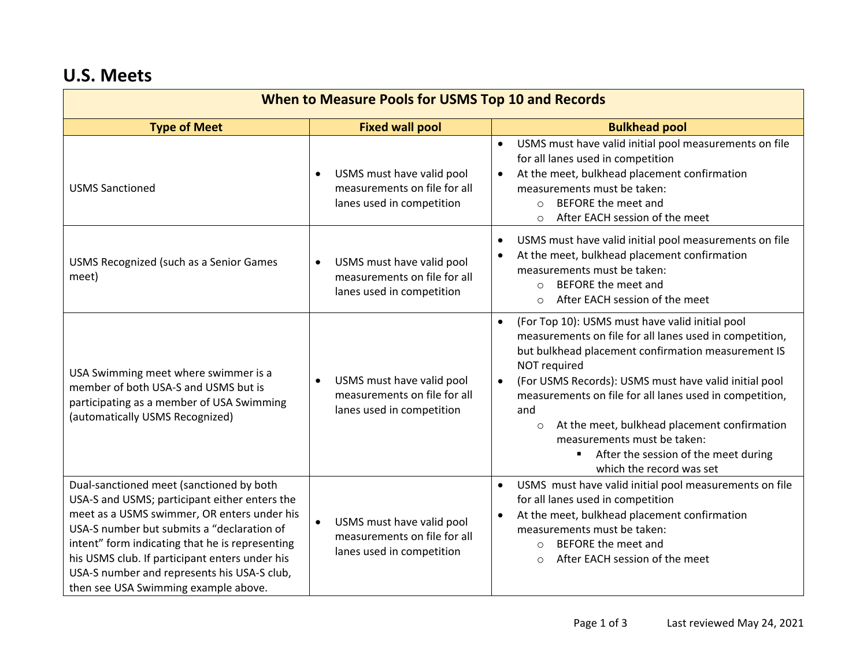## **U.S. Meets**

| <b>When to Measure Pools for USMS Top 10 and Records</b>                                                                                                                                                                                                                                                                                                                           |                                                                                                     |                                                                                                                                                                                                                                                                                                                                                                                                                                                                                                          |  |  |
|------------------------------------------------------------------------------------------------------------------------------------------------------------------------------------------------------------------------------------------------------------------------------------------------------------------------------------------------------------------------------------|-----------------------------------------------------------------------------------------------------|----------------------------------------------------------------------------------------------------------------------------------------------------------------------------------------------------------------------------------------------------------------------------------------------------------------------------------------------------------------------------------------------------------------------------------------------------------------------------------------------------------|--|--|
| <b>Type of Meet</b>                                                                                                                                                                                                                                                                                                                                                                | <b>Fixed wall pool</b>                                                                              | <b>Bulkhead pool</b>                                                                                                                                                                                                                                                                                                                                                                                                                                                                                     |  |  |
| <b>USMS Sanctioned</b>                                                                                                                                                                                                                                                                                                                                                             | USMS must have valid pool<br>$\bullet$<br>measurements on file for all<br>lanes used in competition | USMS must have valid initial pool measurements on file<br>$\bullet$<br>for all lanes used in competition<br>At the meet, bulkhead placement confirmation<br>measurements must be taken:<br>BEFORE the meet and<br>$\bigcirc$<br>After EACH session of the meet<br>$\circ$                                                                                                                                                                                                                                |  |  |
| USMS Recognized (such as a Senior Games<br>meet)                                                                                                                                                                                                                                                                                                                                   | USMS must have valid pool<br>$\bullet$<br>measurements on file for all<br>lanes used in competition | USMS must have valid initial pool measurements on file<br>At the meet, bulkhead placement confirmation<br>measurements must be taken:<br>BEFORE the meet and<br>$\Omega$<br>After EACH session of the meet<br>$\circ$                                                                                                                                                                                                                                                                                    |  |  |
| USA Swimming meet where swimmer is a<br>member of both USA-S and USMS but is<br>participating as a member of USA Swimming<br>(automatically USMS Recognized)                                                                                                                                                                                                                       | USMS must have valid pool<br>$\bullet$<br>measurements on file for all<br>lanes used in competition | (For Top 10): USMS must have valid initial pool<br>$\bullet$<br>measurements on file for all lanes used in competition,<br>but bulkhead placement confirmation measurement IS<br>NOT required<br>(For USMS Records): USMS must have valid initial pool<br>$\bullet$<br>measurements on file for all lanes used in competition,<br>and<br>At the meet, bulkhead placement confirmation<br>$\circ$<br>measurements must be taken:<br>After the session of the meet during<br>٠<br>which the record was set |  |  |
| Dual-sanctioned meet (sanctioned by both<br>USA-S and USMS; participant either enters the<br>meet as a USMS swimmer, OR enters under his<br>USA-S number but submits a "declaration of<br>intent" form indicating that he is representing<br>his USMS club. If participant enters under his<br>USA-S number and represents his USA-S club,<br>then see USA Swimming example above. | USMS must have valid pool<br>$\bullet$<br>measurements on file for all<br>lanes used in competition | USMS must have valid initial pool measurements on file<br>$\bullet$<br>for all lanes used in competition<br>At the meet, bulkhead placement confirmation<br>measurements must be taken:<br>BEFORE the meet and<br>$\circ$<br>After EACH session of the meet<br>$\circ$                                                                                                                                                                                                                                   |  |  |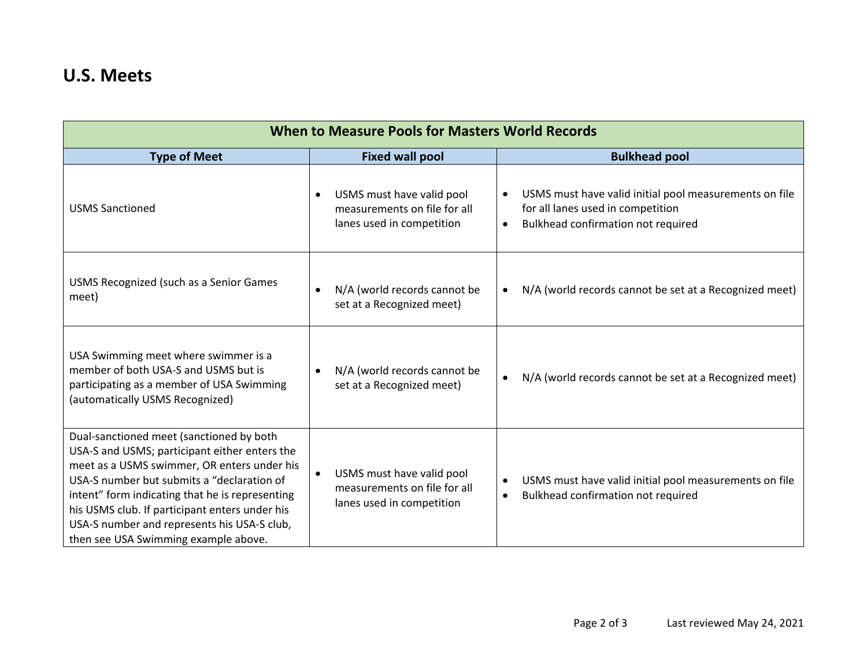## **U.S. Meets**

| <b>When to Measure Pools for Masters World Records</b>                                                                                                                                                                                                                                                                                                                             |                                                                                                     |                                                                                                                                                             |  |  |
|------------------------------------------------------------------------------------------------------------------------------------------------------------------------------------------------------------------------------------------------------------------------------------------------------------------------------------------------------------------------------------|-----------------------------------------------------------------------------------------------------|-------------------------------------------------------------------------------------------------------------------------------------------------------------|--|--|
| <b>Type of Meet</b>                                                                                                                                                                                                                                                                                                                                                                | <b>Fixed wall pool</b>                                                                              | <b>Bulkhead pool</b>                                                                                                                                        |  |  |
| <b>USMS Sanctioned</b>                                                                                                                                                                                                                                                                                                                                                             | USMS must have valid pool<br>$\bullet$<br>measurements on file for all<br>lanes used in competition | USMS must have valid initial pool measurements on file<br>$\bullet$<br>for all lanes used in competition<br>Bulkhead confirmation not required<br>$\bullet$ |  |  |
| USMS Recognized (such as a Senior Games<br>meet)                                                                                                                                                                                                                                                                                                                                   | N/A (world records cannot be<br>set at a Recognized meet)                                           | N/A (world records cannot be set at a Recognized meet)<br>$\bullet$                                                                                         |  |  |
| USA Swimming meet where swimmer is a<br>member of both USA-S and USMS but is<br>participating as a member of USA Swimming<br>(automatically USMS Recognized)                                                                                                                                                                                                                       | N/A (world records cannot be<br>set at a Recognized meet)                                           | N/A (world records cannot be set at a Recognized meet)<br>$\bullet$                                                                                         |  |  |
| Dual-sanctioned meet (sanctioned by both<br>USA-S and USMS; participant either enters the<br>meet as a USMS swimmer, OR enters under his<br>USA-S number but submits a "declaration of<br>intent" form indicating that he is representing<br>his USMS club. If participant enters under his<br>USA-S number and represents his USA-S club,<br>then see USA Swimming example above. | USMS must have valid pool<br>measurements on file for all<br>lanes used in competition              | USMS must have valid initial pool measurements on file<br>$\bullet$<br>Bulkhead confirmation not required<br>$\bullet$                                      |  |  |